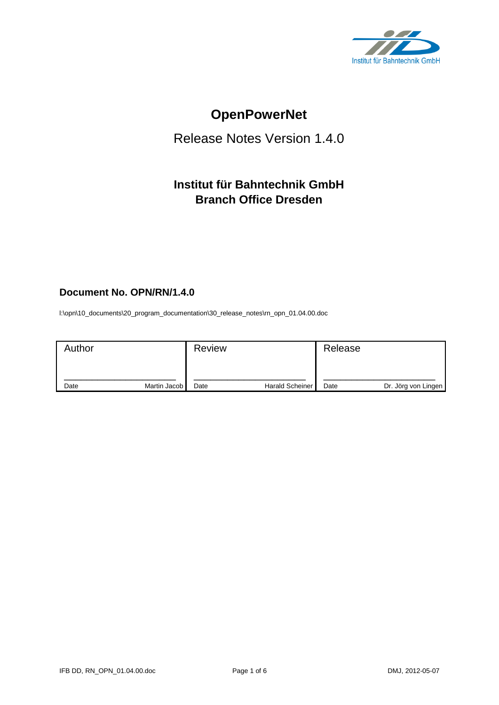

# **OpenPowerNet**

## Release Notes Version 1.4.0

## **Institut für Bahntechnik GmbH Branch Office Dresden**

#### **Document No. OPN/RN/1.4.0**

l:\opn\10\_documents\20\_program\_documentation\30\_release\_notes\rn\_opn\_01.04.00.doc

| Author |              | <b>Review</b> |                        | Release |                     |
|--------|--------------|---------------|------------------------|---------|---------------------|
| Date   | Martin Jacob | Date          | <b>Harald Scheiner</b> | Date    | Dr. Jörg von Lingen |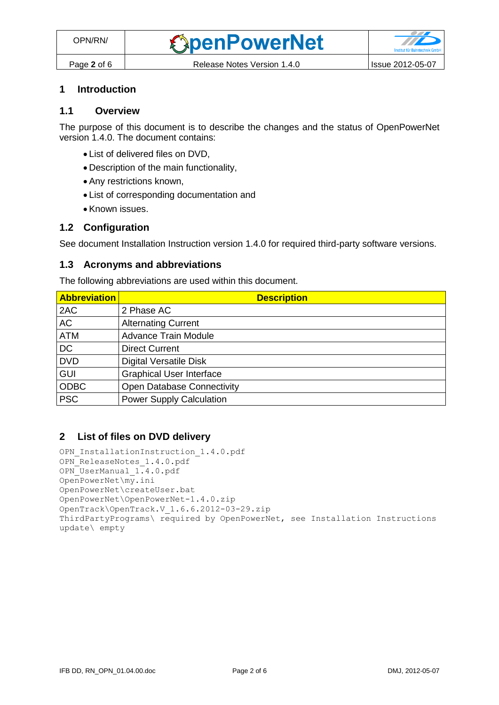#### **1 Introduction**

#### **1.1 Overview**

The purpose of this document is to describe the changes and the status of OpenPowerNet version 1.4.0. The document contains:

- List of delivered files on DVD,
- Description of the main functionality,
- Any restrictions known,
- List of corresponding documentation and
- Known issues.

#### **1.2 Configuration**

See document Installation Instruction version 1.4.0 for required third-party software versions.

#### **1.3 Acronyms and abbreviations**

The following abbreviations are used within this document.

| <b>Abbreviation</b> | <b>Description</b>                |
|---------------------|-----------------------------------|
| 2AC                 | 2 Phase AC                        |
| <b>AC</b>           | <b>Alternating Current</b>        |
| <b>ATM</b>          | <b>Advance Train Module</b>       |
| <b>DC</b>           | <b>Direct Current</b>             |
| <b>DVD</b>          | <b>Digital Versatile Disk</b>     |
| <b>GUI</b>          | <b>Graphical User Interface</b>   |
| <b>ODBC</b>         | <b>Open Database Connectivity</b> |
| <b>PSC</b>          | <b>Power Supply Calculation</b>   |

#### **2 List of files on DVD delivery**

```
OPN InstallationInstruction 1.4.0.pdf
OPN ReleaseNotes 1.4.0.pdf
OPN_UserManual_1.4.0.pdf
OpenPowerNet\my.ini
OpenPowerNet\createUser.bat
OpenPowerNet\OpenPowerNet-1.4.0.zip
OpenTrack\OpenTrack.V_1.6.6.2012-03-29.zip
ThirdPartyPrograms\ required by OpenPowerNet, see Installation Instructions
update\ empty
```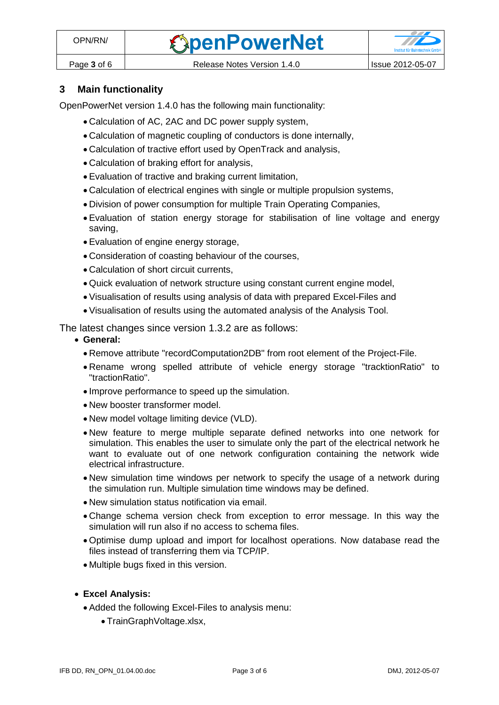

### **3 Main functionality**

OpenPowerNet version 1.4.0 has the following main functionality:

- Calculation of AC, 2AC and DC power supply system,
- Calculation of magnetic coupling of conductors is done internally,
- Calculation of tractive effort used by OpenTrack and analysis,
- Calculation of braking effort for analysis,
- Evaluation of tractive and braking current limitation,
- Calculation of electrical engines with single or multiple propulsion systems,
- Division of power consumption for multiple Train Operating Companies,
- Evaluation of station energy storage for stabilisation of line voltage and energy saving,
- Evaluation of engine energy storage,
- Consideration of coasting behaviour of the courses,
- Calculation of short circuit currents,
- Quick evaluation of network structure using constant current engine model,
- Visualisation of results using analysis of data with prepared Excel-Files and
- Visualisation of results using the automated analysis of the Analysis Tool.

The latest changes since version 1.3.2 are as follows:

- **General:**
	- Remove attribute "recordComputation2DB" from root element of the Project-File.
	- Rename wrong spelled attribute of vehicle energy storage "tracktionRatio" to "tractionRatio".
	- Improve performance to speed up the simulation.
	- New booster transformer model.
	- New model voltage limiting device (VLD).
	- New feature to merge multiple separate defined networks into one network for simulation. This enables the user to simulate only the part of the electrical network he want to evaluate out of one network configuration containing the network wide electrical infrastructure.
	- New simulation time windows per network to specify the usage of a network during the simulation run. Multiple simulation time windows may be defined.
	- New simulation status notification via email.
	- Change schema version check from exception to error message. In this way the simulation will run also if no access to schema files.
	- Optimise dump upload and import for localhost operations. Now database read the files instead of transferring them via TCP/IP.
	- Multiple bugs fixed in this version.
- **Excel Analysis:**
	- Added the following Excel-Files to analysis menu:
		- TrainGraphVoltage.xlsx,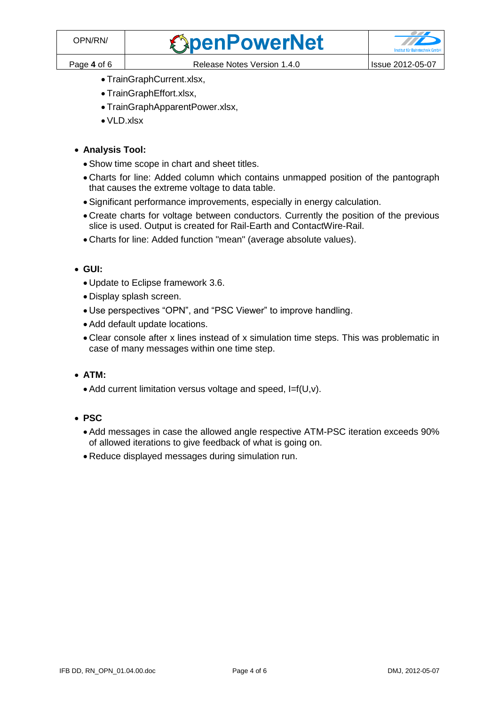- TrainGraphCurrent.xlsx,
- TrainGraphEffort.xlsx,
- TrainGraphApparentPower.xlsx,
- VLD.xlsx

#### **Analysis Tool:**

- Show time scope in chart and sheet titles.
- Charts for line: Added column which contains unmapped position of the pantograph that causes the extreme voltage to data table.
- Significant performance improvements, especially in energy calculation.
- Create charts for voltage between conductors. Currently the position of the previous slice is used. Output is created for Rail-Earth and ContactWire-Rail.
- Charts for line: Added function "mean" (average absolute values).
- **GUI:**
	- Update to Eclipse framework 3.6.
	- Display splash screen.
	- Use perspectives "OPN", and "PSC Viewer" to improve handling.
	- Add default update locations.
	- Clear console after x lines instead of x simulation time steps. This was problematic in case of many messages within one time step.
- **ATM:**
	- Add current limitation versus voltage and speed, I=f(U,v).
- **PSC**
	- Add messages in case the allowed angle respective ATM-PSC iteration exceeds 90% of allowed iterations to give feedback of what is going on.
	- Reduce displayed messages during simulation run.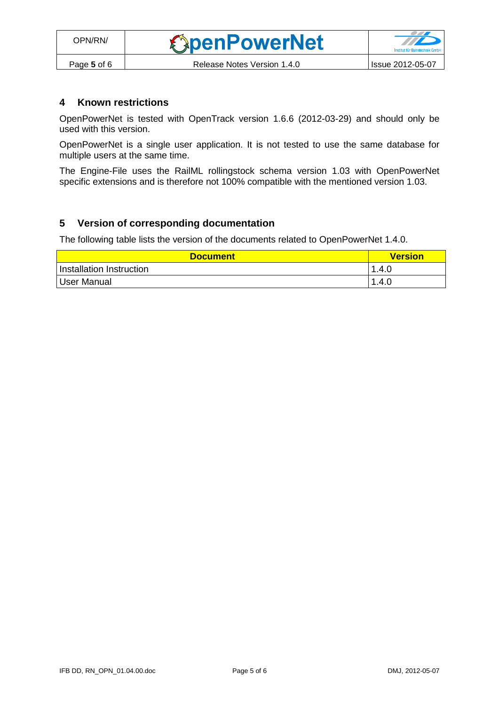#### **4 Known restrictions**

OpenPowerNet is tested with OpenTrack version 1.6.6 (2012-03-29) and should only be used with this version.

OpenPowerNet is a single user application. It is not tested to use the same database for multiple users at the same time.

The Engine-File uses the RailML rollingstock schema version 1.03 with OpenPowerNet specific extensions and is therefore not 100% compatible with the mentioned version 1.03.

#### **5 Version of corresponding documentation**

The following table lists the version of the documents related to OpenPowerNet 1.4.0.

| <b>Document</b>          | <b>Version</b> |
|--------------------------|----------------|
| Installation Instruction | 1.4.0          |
| User Manual              | 1.4.0          |